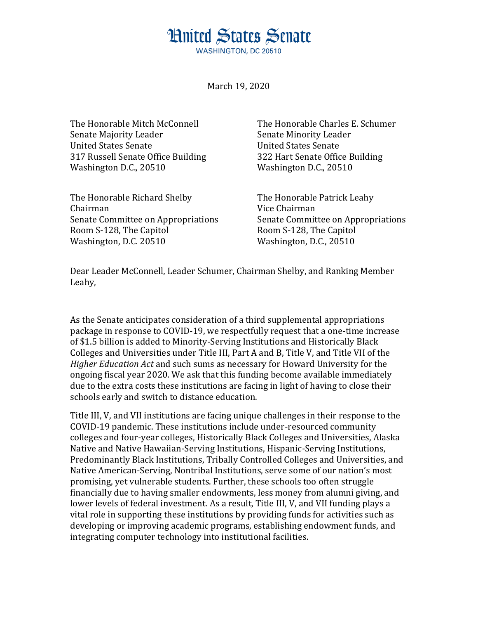## **Hnited States Senate**

**WASHINGTON, DC 20510** 

March 19, 2020

Senate Majority Leader Senate Minority Leader United States Senate United States Senate 317 Russell Senate Office Building 322 Hart Senate Office Building Washington D.C., 20510 Washington D.C., 20510

The Honorable Richard Shelby The Honorable Patrick Leahy Chairman Vice Chairman Room S-128, The Capitol Room S-128, The Capitol Washington, D.C. 20510 Washington, D.C., 20510

The Honorable Mitch McConnell The Honorable Charles E. Schumer

Senate Committee on Appropriations Senate Committee on Appropriations

Dear Leader McConnell, Leader Schumer, Chairman Shelby, and Ranking Member Leahy,

As the Senate anticipates consideration of a third supplemental appropriations package in response to COVID-19, we respectfully request that a one-time increase of \$1.5 billion is added to Minority-Serving Institutions and Historically Black Colleges and Universities under Title III, Part A and B, Title V, and Title VII of the *Higher Education Act* and such sums as necessary for Howard University for the ongoing fiscal year 2020*.* We ask that this funding become available immediately due to the extra costs these institutions are facing in light of having to close their schools early and switch to distance education.

Title III, V, and VII institutions are facing unique challenges in their response to the COVID-19 pandemic. These institutions include under-resourced community colleges and four-year colleges, Historically Black Colleges and Universities, Alaska Native and Native Hawaiian-Serving Institutions, Hispanic-Serving Institutions, Predominantly Black Institutions, Tribally Controlled Colleges and Universities, and Native American-Serving, Nontribal Institutions, serve some of our nation's most promising, yet vulnerable students. Further, these schools too often struggle financially due to having smaller endowments, less money from alumni giving, and lower levels of federal investment. As a result, Title III, V, and VII funding plays a vital role in supporting these institutions by providing funds for activities such as developing or improving academic programs, establishing endowment funds, and integrating computer technology into institutional facilities.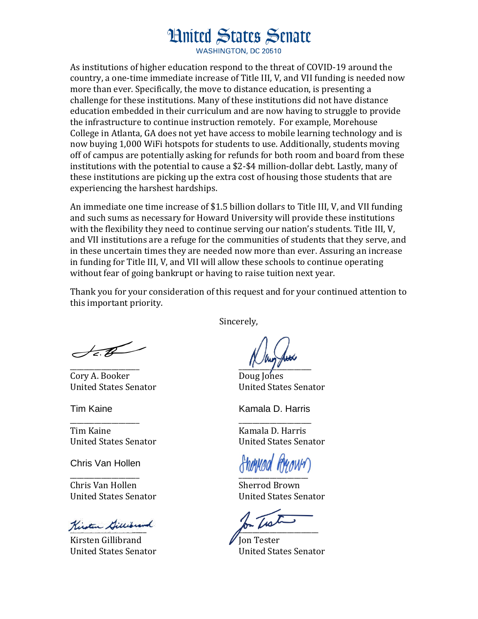## **Hnited States Senate**

**WASHINGTON, DC 20510** 

As institutions of higher education respond to the threat of COVID-19 around the country, a one-time immediate increase of Title III, V, and VII funding is needed now more than ever. Specifically, the move to distance education, is presenting a challenge for these institutions. Many of these institutions did not have distance education embedded in their curriculum and are now having to struggle to provide the infrastructure to continue instruction remotely. For example, Morehouse College in Atlanta, GA does not yet have access to mobile learning technology and is now buying 1,000 WiFi hotspots for students to use. Additionally, students moving off of campus are potentially asking for refunds for both room and board from these institutions with the potential to cause a \$2-\$4 million-dollar debt. Lastly, many of these institutions are picking up the extra cost of housing those students that are experiencing the harshest hardships.

An immediate one time increase of \$1.5 billion dollars to Title III, V, and VII funding and such sums as necessary for Howard University will provide these institutions with the flexibility they need to continue serving our nation's students. Title III, V, and VII institutions are a refuge for the communities of students that they serve, and in these uncertain times they are needed now more than ever. Assuring an increase in funding for Title III, V, and VII will allow these schools to continue operating without fear of going bankrupt or having to raise tuition next year.

Thank you for your consideration of this request and for your continued attention to this important priority.

Sincerely,

\_\_\_\_\_\_\_\_\_\_\_\_\_\_\_\_\_\_\_\_ \_\_\_\_\_\_\_\_\_\_\_\_\_\_\_\_\_\_\_\_\_

 $\overrightarrow{AB}$ 

Cory A. Booker Doug Jones United States Senator United States Senator

Tim Kaine **Kamala D. Harris** 

Chris Van Hollen

Chris Van Hollen Sherrod Brown United States Senator United States Senator

Kirsten Gillibrand

 $K$ irsten Gillibrand  $\blacksquare$  Jon Tester

Tim Kaine **Kamala D. Harris** 

United States Senator United States Senator

 $\overline{Q}$   $\overline{Q}$   $\overline{Q}$   $\overline{Q}$   $\overline{Q}$   $\overline{Q}$   $\overline{Q}$   $\overline{Q}$   $\overline{Q}$   $\overline{Q}$   $\overline{Q}$   $\overline{Q}$   $\overline{Q}$   $\overline{Q}$   $\overline{Q}$   $\overline{Q}$   $\overline{Q}$   $\overline{Q}$   $\overline{Q}$   $\overline{Q}$   $\overline{Q}$   $\overline{Q}$   $\overline{Q}$   $\overline{Q}$   $\overline{$ 

United States Senator United States Senator